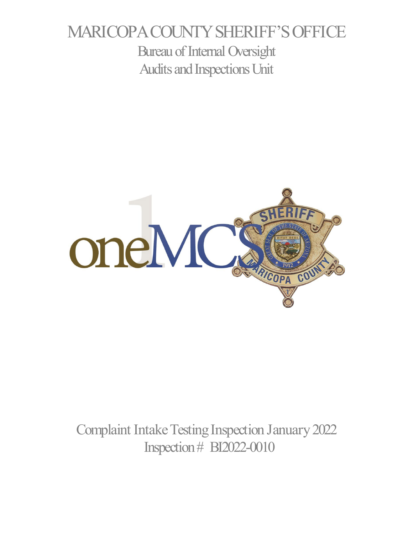# MARICOPA COUNTY SHERIFF'S OFFICE Bureau of Internal Oversight Audits and Inspections Unit



Complaint Intake Testing Inspection January 2022 Inspection # BI2022-0010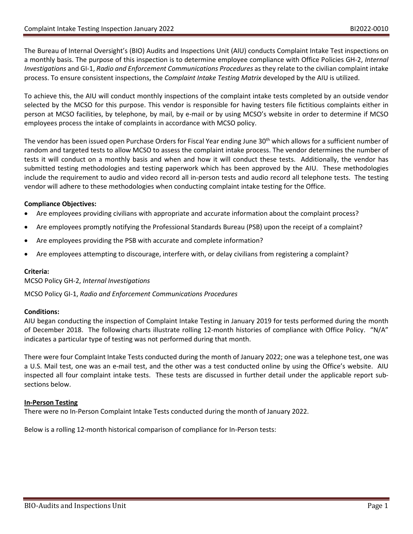The Bureau of Internal Oversight's (BIO) Audits and Inspections Unit (AIU) conducts Complaint Intake Test inspections on a monthly basis. The purpose of this inspection is to determine employee compliance with Office Policies GH-2, *Internal Investigations* and GI-1, *Radio and Enforcement Communications Procedures* as they relate to the civilian complaint intake process. To ensure consistent inspections, the *Complaint Intake Testing Matrix* developed by the AIU is utilized.

To achieve this, the AIU will conduct monthly inspections of the complaint intake tests completed by an outside vendor selected by the MCSO for this purpose. This vendor is responsible for having testers file fictitious complaints either in person at MCSO facilities, by telephone, by mail, by e-mail or by using MCSO's website in order to determine if MCSO employees process the intake of complaints in accordance with MCSO policy.

The vendor has been issued open Purchase Orders for Fiscal Year ending June 30<sup>th</sup> which allows for a sufficient number of random and targeted tests to allow MCSO to assess the complaint intake process. The vendor determines the number of tests it will conduct on a monthly basis and when and how it will conduct these tests. Additionally, the vendor has submitted testing methodologies and testing paperwork which has been approved by the AIU. These methodologies include the requirement to audio and video record all in-person tests and audio record all telephone tests. The testing vendor will adhere to these methodologies when conducting complaint intake testing for the Office.

# **Compliance Objectives:**

- Are employees providing civilians with appropriate and accurate information about the complaint process?
- Are employees promptly notifying the Professional Standards Bureau (PSB) upon the receipt of a complaint?
- Are employees providing the PSB with accurate and complete information?
- Are employees attempting to discourage, interfere with, or delay civilians from registering a complaint?

## **Criteria:**

MCSO Policy GH-2, *Internal Investigations*

MCSO Policy GI-1, *Radio and Enforcement Communications Procedures*

## **Conditions:**

AIU began conducting the inspection of Complaint Intake Testing in January 2019 for tests performed during the month of December 2018. The following charts illustrate rolling 12-month histories of compliance with Office Policy. "N/A" indicates a particular type of testing was not performed during that month.

There were four Complaint Intake Tests conducted during the month of January 2022; one was a telephone test, one was a U.S. Mail test, one was an e-mail test, and the other was a test conducted online by using the Office's website. AIU inspected all four complaint intake tests. These tests are discussed in further detail under the applicable report subsections below.

## **In-Person Testing**

There were no In-Person Complaint Intake Tests conducted during the month of January 2022.

Below is a rolling 12-month historical comparison of compliance for In-Person tests: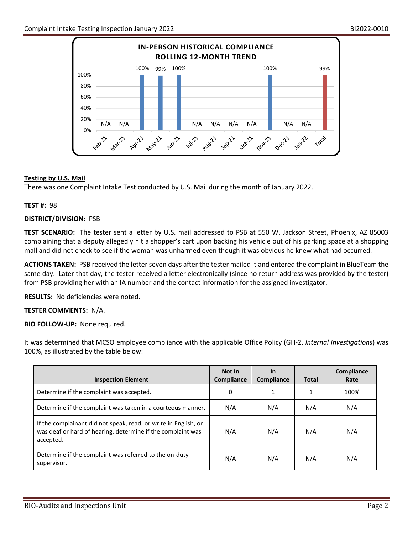

# **Testing by U.S. Mail**

There was one Complaint Intake Test conducted by U.S. Mail during the month of January 2022.

## **TEST #**: 98

## **DISTRICT/DIVISION:** PSB

**TEST SCENARIO:** The tester sent a letter by U.S. mail addressed to PSB at 550 W. Jackson Street, Phoenix, AZ 85003 complaining that a deputy allegedly hit a shopper's cart upon backing his vehicle out of his parking space at a shopping mall and did not check to see if the woman was unharmed even though it was obvious he knew what had occurred.

**ACTIONS TAKEN:** PSB received the letter seven days after the tester mailed it and entered the complaint in BlueTeam the same day. Later that day, the tester received a letter electronically (since no return address was provided by the tester) from PSB providing her with an IA number and the contact information for the assigned investigator.

**RESULTS:** No deficiencies were noted.

## **TESTER COMMENTS:** N/A.

**BIO FOLLOW-UP:** None required.

| <b>Inspection Element</b>                                                                                                                   | Not In<br>Compliance | <b>In</b><br>Compliance | <b>Total</b> | Compliance<br>Rate |
|---------------------------------------------------------------------------------------------------------------------------------------------|----------------------|-------------------------|--------------|--------------------|
| Determine if the complaint was accepted.                                                                                                    | 0                    | 1                       | 1            | 100%               |
| Determine if the complaint was taken in a courteous manner.                                                                                 | N/A                  | N/A                     | N/A          | N/A                |
| If the complainant did not speak, read, or write in English, or<br>was deaf or hard of hearing, determine if the complaint was<br>accepted. | N/A                  | N/A                     | N/A          | N/A                |
| Determine if the complaint was referred to the on-duty<br>supervisor.                                                                       | N/A                  | N/A                     | N/A          | N/A                |

It was determined that MCSO employee compliance with the applicable Office Policy (GH-2, *Internal Investigations*) was 100%, as illustrated by the table below: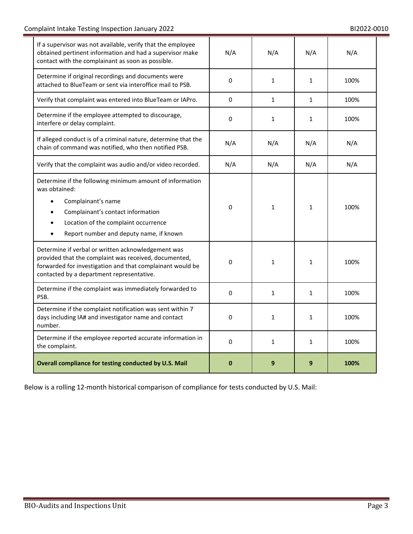| If a supervisor was not available, verify that the employee<br>obtained pertinent information and had a supervisor make<br>contact with the complainant as soon as possible.                                                         | N/A       | N/A          | N/A          | N/A  |
|--------------------------------------------------------------------------------------------------------------------------------------------------------------------------------------------------------------------------------------|-----------|--------------|--------------|------|
| Determine if original recordings and documents were<br>attached to BlueTeam or sent via interoffice mail to PSB.                                                                                                                     | 0         | $\mathbf{1}$ | $\mathbf{1}$ | 100% |
| Verify that complaint was entered into BlueTeam or IAPro.                                                                                                                                                                            | 0         | 1            | $\mathbf{1}$ | 100% |
| Determine if the employee attempted to discourage,<br>interfere or delay complaint.                                                                                                                                                  | $\pmb{0}$ | $\mathbf{1}$ | $\mathbf{1}$ | 100% |
| If alleged conduct is of a criminal nature, determine that the<br>chain of command was notified, who then notified PSB.                                                                                                              | N/A       | N/A          | N/A          | N/A  |
| Verify that the complaint was audio and/or video recorded.                                                                                                                                                                           | N/A       | N/A          | N/A          | N/A  |
| Determine if the following minimum amount of information<br>was obtained:<br>Complainant's name<br>$\bullet$<br>Complainant's contact information<br>Location of the complaint occurrence<br>Report number and deputy name, if known | 0         | 1            | $\mathbf{1}$ | 100% |
| Determine if verbal or written acknowledgement was<br>provided that the complaint was received, documented,<br>forwarded for investigation and that complainant would be<br>contacted by a department representative.                | 0         | $\mathbf{1}$ | $\mathbf{1}$ | 100% |
| Determine if the complaint was immediately forwarded to<br>PSB.                                                                                                                                                                      | 0         | $\mathbf{1}$ | $\mathbf{1}$ | 100% |
| Determine if the complaint notification was sent within 7<br>days including IA# and investigator name and contact<br>number.                                                                                                         | 0         | $\mathbf{1}$ | $\mathbf{1}$ | 100% |
| Determine if the employee reported accurate information in<br>the complaint.                                                                                                                                                         | 0         | $\mathbf{1}$ | $\mathbf{1}$ | 100% |
| Overall compliance for testing conducted by U.S. Mail                                                                                                                                                                                | $\bf{0}$  | 9            | 9            | 100% |

Below is a rolling 12-month historical comparison of compliance for tests conducted by U.S. Mail: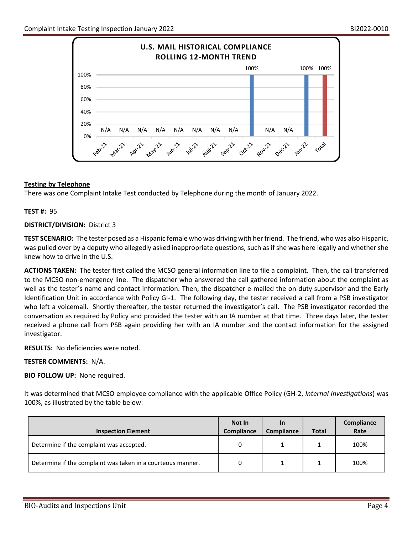

# **Testing by Telephone**

There was one Complaint Intake Test conducted by Telephone during the month of January 2022.

## **TEST #:** 95

## **DISTRICT/DIVISION:** District 3

**TEST SCENARIO:** The tester posed as a Hispanic female who was driving with her friend. The friend, who was also Hispanic, was pulled over by a deputy who allegedly asked inappropriate questions, such as if she was here legally and whether she knew how to drive in the U.S.

**ACTIONS TAKEN:** The tester first called the MCSO general information line to file a complaint. Then, the call transferred to the MCSO non-emergency line. The dispatcher who answered the call gathered information about the complaint as well as the tester's name and contact information. Then, the dispatcher e-mailed the on-duty supervisor and the Early Identification Unit in accordance with Policy GI-1. The following day, the tester received a call from a PSB investigator who left a voicemail. Shortly thereafter, the tester returned the investigator's call. The PSB investigator recorded the conversation as required by Policy and provided the tester with an IA number at that time. Three days later, the tester received a phone call from PSB again providing her with an IA number and the contact information for the assigned investigator.

**RESULTS:** No deficiencies were noted.

## **TESTER COMMENTS:** N/A.

**BIO FOLLOW UP:** None required.

It was determined that MCSO employee compliance with the applicable Office Policy (GH-2, *Internal Investigations*) was 100%, as illustrated by the table below:

| <b>Inspection Element</b>                                   | Not In<br><b>Compliance</b> | In<br>Compliance | <b>Total</b> | Compliance<br>Rate |
|-------------------------------------------------------------|-----------------------------|------------------|--------------|--------------------|
| Determine if the complaint was accepted.                    | 0                           |                  |              | 100%               |
| Determine if the complaint was taken in a courteous manner. | 0                           |                  |              | 100%               |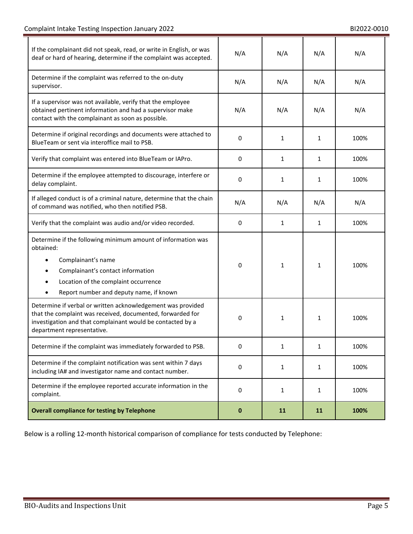L.

| If the complainant did not speak, read, or write in English, or was<br>deaf or hard of hearing, determine if the complaint was accepted.                                                                                | N/A       | N/A          | N/A          | N/A  |
|-------------------------------------------------------------------------------------------------------------------------------------------------------------------------------------------------------------------------|-----------|--------------|--------------|------|
| Determine if the complaint was referred to the on-duty<br>supervisor.                                                                                                                                                   | N/A       | N/A          | N/A          | N/A  |
| If a supervisor was not available, verify that the employee<br>obtained pertinent information and had a supervisor make<br>contact with the complainant as soon as possible.                                            | N/A       | N/A          | N/A          | N/A  |
| Determine if original recordings and documents were attached to<br>BlueTeam or sent via interoffice mail to PSB.                                                                                                        | 0         | $\mathbf{1}$ | 1            | 100% |
| Verify that complaint was entered into BlueTeam or IAPro.                                                                                                                                                               | 0         | 1            | $\mathbf{1}$ | 100% |
| Determine if the employee attempted to discourage, interfere or<br>delay complaint.                                                                                                                                     | 0         | $\mathbf{1}$ | 1            | 100% |
| If alleged conduct is of a criminal nature, determine that the chain<br>of command was notified, who then notified PSB.                                                                                                 | N/A       | N/A          | N/A          | N/A  |
| Verify that the complaint was audio and/or video recorded.                                                                                                                                                              | 0         | 1            | 1            | 100% |
| Determine if the following minimum amount of information was<br>obtained:<br>Complainant's name<br>Complainant's contact information<br>Location of the complaint occurrence<br>Report number and deputy name, if known | 0         | $\mathbf{1}$ | 1            | 100% |
| Determine if verbal or written acknowledgement was provided<br>that the complaint was received, documented, forwarded for<br>investigation and that complainant would be contacted by a<br>department representative.   | 0         | $\mathbf{1}$ | 1            | 100% |
| Determine if the complaint was immediately forwarded to PSB.                                                                                                                                                            | 0         | $\mathbf{1}$ | 1            | 100% |
| Determine if the complaint notification was sent within 7 days<br>including IA# and investigator name and contact number.                                                                                               | 0         | $\mathbf{1}$ | 1            | 100% |
| Determine if the employee reported accurate information in the<br>complaint.                                                                                                                                            | 0         | $\mathbf{1}$ | 1            | 100% |
| <b>Overall compliance for testing by Telephone</b>                                                                                                                                                                      | $\pmb{0}$ | 11           | 11           | 100% |

Below is a rolling 12-month historical comparison of compliance for tests conducted by Telephone: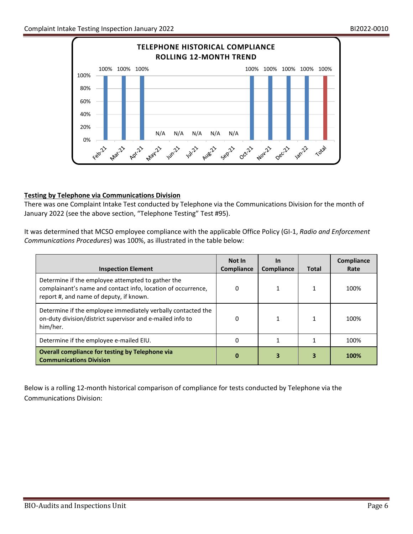

# **Testing by Telephone via Communications Division**

There was one Complaint Intake Test conducted by Telephone via the Communications Division for the month of January 2022 (see the above section, "Telephone Testing" Test #95).

It was determined that MCSO employee compliance with the applicable Office Policy (GI-1, *Radio and Enforcement Communications Procedures*) was 100%, as illustrated in the table below:

| <b>Inspection Element</b>                                                                                                                                    | Not In<br><b>Compliance</b> | <u>In</u><br>Compliance | <b>Total</b> | <b>Compliance</b><br>Rate |
|--------------------------------------------------------------------------------------------------------------------------------------------------------------|-----------------------------|-------------------------|--------------|---------------------------|
| Determine if the employee attempted to gather the<br>complainant's name and contact info, location of occurrence,<br>report #, and name of deputy, if known. | 0                           |                         |              | 100%                      |
| Determine if the employee immediately verbally contacted the<br>on-duty division/district supervisor and e-mailed info to<br>him/her.                        | 0                           |                         |              | 100%                      |
| Determine if the employee e-mailed EIU.                                                                                                                      | 0                           |                         |              | 100%                      |
| Overall compliance for testing by Telephone via<br><b>Communications Division</b>                                                                            |                             |                         |              | 100%                      |

Below is a rolling 12-month historical comparison of compliance for tests conducted by Telephone via the Communications Division: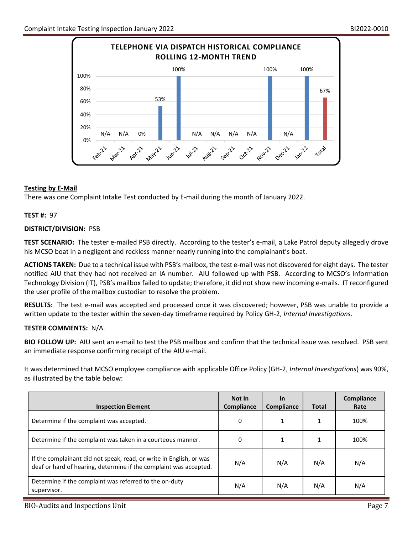

# **Testing by E-Mail**

There was one Complaint Intake Test conducted by E-mail during the month of January 2022.

## **TEST #:** 97

## **DISTRICT/DIVISION:** PSB

**TEST SCENARIO:** The tester e-mailed PSB directly. According to the tester's e-mail, a Lake Patrol deputy allegedly drove his MCSO boat in a negligent and reckless manner nearly running into the complainant's boat.

**ACTIONS TAKEN:** Due to a technical issue with PSB's mailbox, the test e-mail was not discovered for eight days. The tester notified AIU that they had not received an IA number. AIU followed up with PSB. According to MCSO's Information Technology Division (IT), PSB's mailbox failed to update; therefore, it did not show new incoming e-mails. IT reconfigured the user profile of the mailbox custodian to resolve the problem.

**RESULTS:** The test e-mail was accepted and processed once it was discovered; however, PSB was unable to provide a written update to the tester within the seven-day timeframe required by Policy GH-2, *Internal Investigations*.

# **TESTER COMMENTS:** N/A.

**BIO FOLLOW UP:** AIU sent an e-mail to test the PSB mailbox and confirm that the technical issue was resolved. PSB sent an immediate response confirming receipt of the AIU e-mail.

It was determined that MCSO employee compliance with applicable Office Policy (GH-2, *Internal Investigations*) was 90%, as illustrated by the table below:

| <b>Inspection Element</b>                                                                                                                | Not In<br>Compliance | <u>In</u><br>Compliance | <b>Total</b> | Compliance<br>Rate |
|------------------------------------------------------------------------------------------------------------------------------------------|----------------------|-------------------------|--------------|--------------------|
| Determine if the complaint was accepted.                                                                                                 | 0                    |                         | 1            | 100%               |
| Determine if the complaint was taken in a courteous manner.                                                                              | 0                    |                         |              | 100%               |
| If the complainant did not speak, read, or write in English, or was<br>deaf or hard of hearing, determine if the complaint was accepted. | N/A                  | N/A                     | N/A          | N/A                |
| Determine if the complaint was referred to the on-duty<br>supervisor.                                                                    | N/A                  | N/A                     | N/A          | N/A                |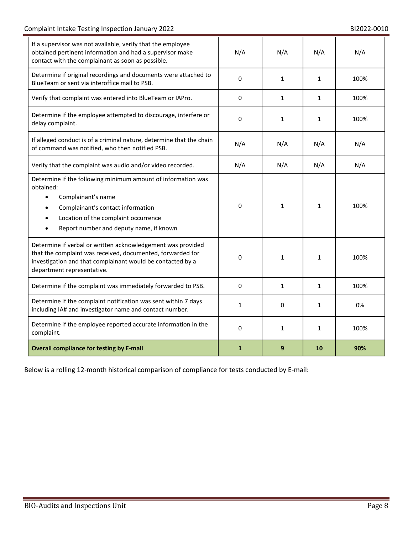| If a supervisor was not available, verify that the employee<br>obtained pertinent information and had a supervisor make<br>contact with the complainant as soon as possible.                                                         | N/A          | N/A          | N/A          | N/A  |
|--------------------------------------------------------------------------------------------------------------------------------------------------------------------------------------------------------------------------------------|--------------|--------------|--------------|------|
| Determine if original recordings and documents were attached to<br>BlueTeam or sent via interoffice mail to PSB.                                                                                                                     | 0            | $\mathbf{1}$ | $\mathbf{1}$ | 100% |
| Verify that complaint was entered into BlueTeam or IAPro.                                                                                                                                                                            | 0            | $\mathbf{1}$ | $\mathbf{1}$ | 100% |
| Determine if the employee attempted to discourage, interfere or<br>delay complaint.                                                                                                                                                  | 0            | $\mathbf{1}$ | $\mathbf{1}$ | 100% |
| If alleged conduct is of a criminal nature, determine that the chain<br>of command was notified, who then notified PSB.                                                                                                              | N/A          | N/A          | N/A          | N/A  |
| Verify that the complaint was audio and/or video recorded.                                                                                                                                                                           | N/A          | N/A          | N/A          | N/A  |
| Determine if the following minimum amount of information was<br>obtained:<br>Complainant's name<br>Complainant's contact information<br>Location of the complaint occurrence<br>$\bullet$<br>Report number and deputy name, if known | 0            | 1            | 1            | 100% |
| Determine if verbal or written acknowledgement was provided<br>that the complaint was received, documented, forwarded for<br>investigation and that complainant would be contacted by a<br>department representative.                | 0            | $\mathbf{1}$ | 1            | 100% |
| Determine if the complaint was immediately forwarded to PSB.                                                                                                                                                                         | 0            | $\mathbf{1}$ | 1            | 100% |
| Determine if the complaint notification was sent within 7 days<br>including IA# and investigator name and contact number.                                                                                                            | 1            | 0            | $\mathbf{1}$ | 0%   |
| Determine if the employee reported accurate information in the<br>complaint.                                                                                                                                                         | 0            | $\mathbf{1}$ | $\mathbf{1}$ | 100% |
| <b>Overall compliance for testing by E-mail</b>                                                                                                                                                                                      | $\mathbf{1}$ | 9            | 10           | 90%  |

Below is a rolling 12-month historical comparison of compliance for tests conducted by E-mail: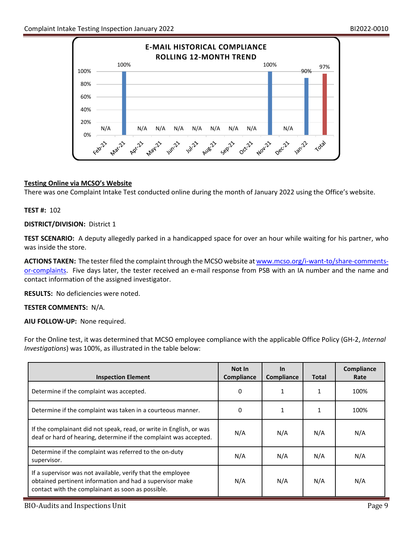

# **Testing Online via MCSO's Website**

There was one Complaint Intake Test conducted online during the month of January 2022 using the Office's website.

## **TEST #:** 102

## **DISTRICT/DIVISION:** District 1

**TEST SCENARIO:** A deputy allegedly parked in a handicapped space for over an hour while waiting for his partner, who was inside the store.

**ACTIONS TAKEN:** The tester filed the complaint through the MCSO website a[t www.mcso.org/i-want-to/share-comments](http://www.mcso.org/i-want-to/share-comments-or-complaints)[or-complaints.](http://www.mcso.org/i-want-to/share-comments-or-complaints) Five days later, the tester received an e-mail response from PSB with an IA number and the name and contact information of the assigned investigator.

**RESULTS:** No deficiencies were noted.

## **TESTER COMMENTS:** N/A*.*

**AIU FOLLOW-UP:** None required.

For the Online test, it was determined that MCSO employee compliance with the applicable Office Policy (GH-2, *Internal Investigations*) was 100%, as illustrated in the table below:

| <b>Inspection Element</b>                                                                                                                                                    | Not In<br>Compliance | <b>In</b><br><b>Compliance</b> | <b>Total</b> | Compliance<br>Rate |
|------------------------------------------------------------------------------------------------------------------------------------------------------------------------------|----------------------|--------------------------------|--------------|--------------------|
| Determine if the complaint was accepted.                                                                                                                                     | 0                    |                                |              | 100%               |
| Determine if the complaint was taken in a courteous manner.                                                                                                                  | 0                    | 1                              | 1            | 100%               |
| If the complainant did not speak, read, or write in English, or was<br>deaf or hard of hearing, determine if the complaint was accepted.                                     | N/A                  | N/A                            | N/A          | N/A                |
| Determine if the complaint was referred to the on-duty<br>supervisor.                                                                                                        | N/A                  | N/A                            | N/A          | N/A                |
| If a supervisor was not available, verify that the employee<br>obtained pertinent information and had a supervisor make<br>contact with the complainant as soon as possible. | N/A                  | N/A                            | N/A          | N/A                |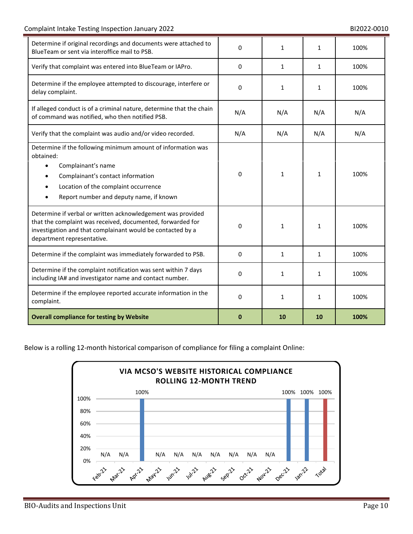| Determine if original recordings and documents were attached to<br>BlueTeam or sent via interoffice mail to PSB.                                                                                                        | 0            | 1            | 1            | 100% |
|-------------------------------------------------------------------------------------------------------------------------------------------------------------------------------------------------------------------------|--------------|--------------|--------------|------|
| Verify that complaint was entered into BlueTeam or IAPro.                                                                                                                                                               | $\mathbf{0}$ | $\mathbf{1}$ | $\mathbf{1}$ | 100% |
| Determine if the employee attempted to discourage, interfere or<br>delay complaint.                                                                                                                                     | $\Omega$     | $\mathbf{1}$ | $\mathbf{1}$ | 100% |
| If alleged conduct is of a criminal nature, determine that the chain<br>of command was notified, who then notified PSB.                                                                                                 | N/A          | N/A          | N/A          | N/A  |
| Verify that the complaint was audio and/or video recorded.                                                                                                                                                              | N/A          | N/A          | N/A          | N/A  |
| Determine if the following minimum amount of information was<br>obtained:<br>Complainant's name<br>Complainant's contact information<br>Location of the complaint occurrence<br>Report number and deputy name, if known | 0            | $\mathbf{1}$ | $\mathbf{1}$ | 100% |
| Determine if verbal or written acknowledgement was provided<br>that the complaint was received, documented, forwarded for<br>investigation and that complainant would be contacted by a<br>department representative.   | $\Omega$     | $\mathbf{1}$ | $\mathbf{1}$ | 100% |
| Determine if the complaint was immediately forwarded to PSB.                                                                                                                                                            | $\mathbf{0}$ | $\mathbf{1}$ | 1            | 100% |
| Determine if the complaint notification was sent within 7 days<br>including IA# and investigator name and contact number.                                                                                               | $\Omega$     | 1            | 1            | 100% |
| Determine if the employee reported accurate information in the<br>complaint.                                                                                                                                            | 0            | $\mathbf{1}$ | $\mathbf{1}$ | 100% |
| <b>Overall compliance for testing by Website</b>                                                                                                                                                                        | $\bf{0}$     | 10           | 10           | 100% |

Below is a rolling 12-month historical comparison of compliance for filing a complaint Online:

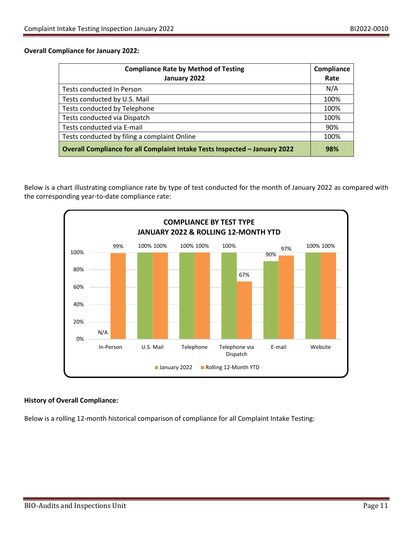## **Overall Compliance for January 2022:**

| <b>Compliance Rate by Method of Testing</b>                                | Compliance |
|----------------------------------------------------------------------------|------------|
| January 2022                                                               | Rate       |
| Tests conducted In Person                                                  | N/A        |
| Tests conducted by U.S. Mail                                               | 100%       |
| Tests conducted by Telephone                                               | 100%       |
| Tests conducted via Dispatch                                               | 100%       |
| Tests conducted via E-mail                                                 | 90%        |
| Tests conducted by filing a complaint Online                               | 100%       |
| Overall Compliance for all Complaint Intake Tests Inspected - January 2022 | 98%        |

Below is a chart illustrating compliance rate by type of test conducted for the month of January 2022 as compared with the corresponding year-to-date compliance rate:



# **History of Overall Compliance:**

Below is a rolling 12-month historical comparison of compliance for all Complaint Intake Testing: